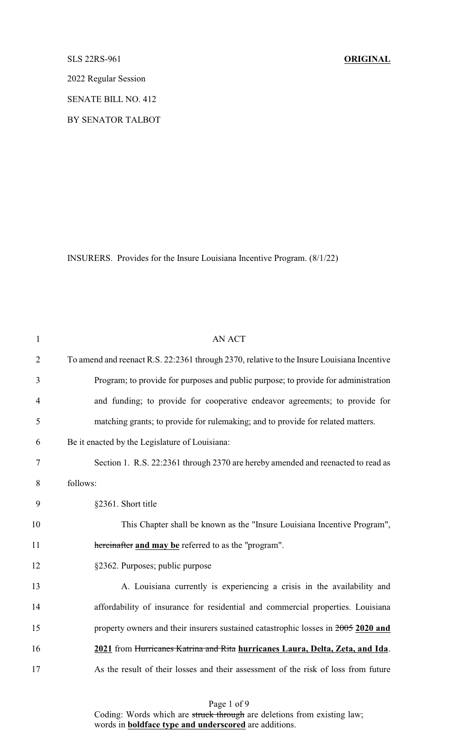## SLS 22RS-961 **ORIGINAL**

2022 Regular Session

SENATE BILL NO. 412

BY SENATOR TALBOT

INSURERS. Provides for the Insure Louisiana Incentive Program. (8/1/22)

| $\mathbf{1}$   | <b>AN ACT</b>                                                                              |
|----------------|--------------------------------------------------------------------------------------------|
| $\overline{2}$ | To amend and reenact R.S. 22:2361 through 2370, relative to the Insure Louisiana Incentive |
| 3              | Program; to provide for purposes and public purpose; to provide for administration         |
| $\overline{4}$ | and funding; to provide for cooperative endeavor agreements; to provide for                |
| 5              | matching grants; to provide for rulemaking; and to provide for related matters.            |
| 6              | Be it enacted by the Legislature of Louisiana:                                             |
| 7              | Section 1. R.S. 22:2361 through 2370 are hereby amended and reenacted to read as           |
| 8              | follows:                                                                                   |
| 9              | §2361. Short title                                                                         |
| 10             | This Chapter shall be known as the "Insure Louisiana Incentive Program",                   |
| 11             | hereinafter and may be referred to as the "program".                                       |
| 12             | §2362. Purposes; public purpose                                                            |
| 13             | A. Louisiana currently is experiencing a crisis in the availability and                    |
| 14             | affordability of insurance for residential and commercial properties. Louisiana            |
| 15             | property owners and their insurers sustained catastrophic losses in 2005 2020 and          |
| 16             | 2021 from Hurricanes Katrina and Rita hurricanes Laura, Delta, Zeta, and Ida.              |
| 17             | As the result of their losses and their assessment of the risk of loss from future         |
|                |                                                                                            |

Page 1 of 9 Coding: Words which are struck through are deletions from existing law; words in **boldface type and underscored** are additions.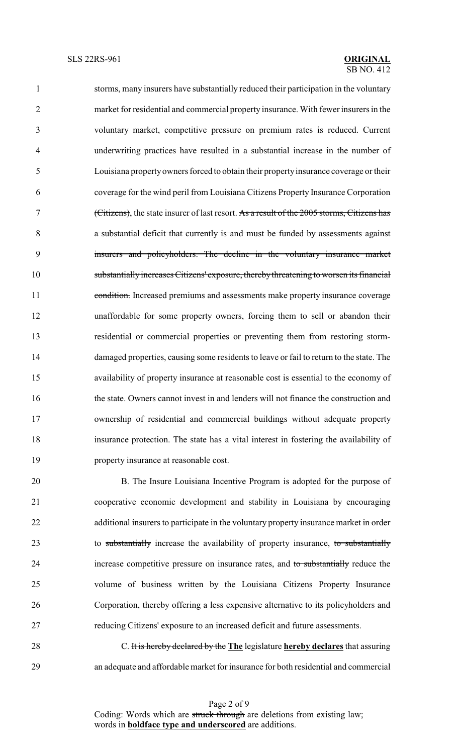storms, many insurers have substantially reduced their participation in the voluntary market for residential and commercial property insurance. With fewer insurers in the voluntary market, competitive pressure on premium rates is reduced. Current underwriting practices have resulted in a substantial increase in the number of Louisiana propertyowners forced to obtain their propertyinsurance coverage or their coverage for the wind peril from Louisiana Citizens Property Insurance Corporation (Citizens), the state insurer of last resort. As a result of the 2005 storms, Citizens has a substantial deficit that currently is and must be funded by assessments against insurers and policyholders. The decline in the voluntary insurance market substantially increases Citizens' exposure, therebythreatening to worsen its financial 11 condition. Increased premiums and assessments make property insurance coverage unaffordable for some property owners, forcing them to sell or abandon their residential or commercial properties or preventing them from restoring storm- damaged properties, causing some residents to leave or fail to return to the state. The availability of property insurance at reasonable cost is essential to the economy of the state. Owners cannot invest in and lenders will not finance the construction and ownership of residential and commercial buildings without adequate property insurance protection. The state has a vital interest in fostering the availability of property insurance at reasonable cost.

 B. The Insure Louisiana Incentive Program is adopted for the purpose of cooperative economic development and stability in Louisiana by encouraging 22 additional insurers to participate in the voluntary property insurance market in order 23 to substantially increase the availability of property insurance, to substantially increase competitive pressure on insurance rates, and to substantially reduce the volume of business written by the Louisiana Citizens Property Insurance Corporation, thereby offering a less expensive alternative to its policyholders and reducing Citizens' exposure to an increased deficit and future assessments.

 C. It is hereby declared by the **The** legislature **hereby declares** that assuring an adequate and affordable market for insurance for both residential and commercial

> Page 2 of 9 Coding: Words which are struck through are deletions from existing law; words in **boldface type and underscored** are additions.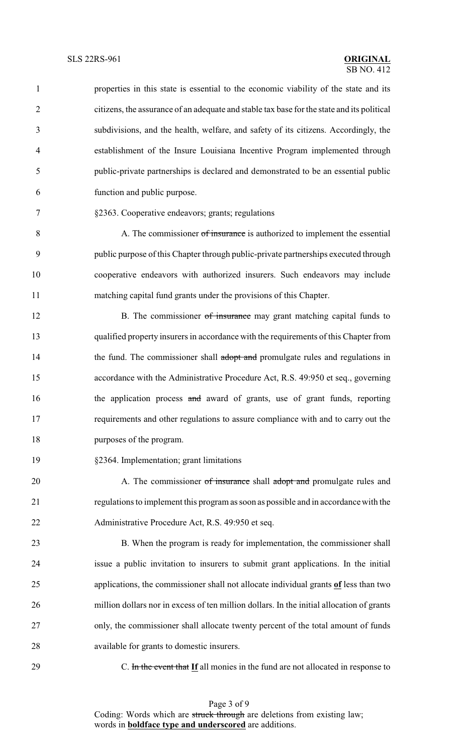| $\mathbf{1}$   | properties in this state is essential to the economic viability of the state and its       |
|----------------|--------------------------------------------------------------------------------------------|
| $\overline{2}$ | citizens, the assurance of an adequate and stable tax base for the state and its political |
| 3              | subdivisions, and the health, welfare, and safety of its citizens. Accordingly, the        |
| $\overline{4}$ | establishment of the Insure Louisiana Incentive Program implemented through                |
| 5              | public-private partnerships is declared and demonstrated to be an essential public         |
| 6              | function and public purpose.                                                               |
| $\tau$         | §2363. Cooperative endeavors; grants; regulations                                          |
| 8              | A. The commissioner of insurance is authorized to implement the essential                  |
| 9              | public purpose of this Chapter through public-private partnerships executed through        |
| 10             | cooperative endeavors with authorized insurers. Such endeavors may include                 |
| 11             | matching capital fund grants under the provisions of this Chapter.                         |
| 12             | B. The commissioner of insurance may grant matching capital funds to                       |
| 13             | qualified property insurers in accordance with the requirements of this Chapter from       |
| 14             | the fund. The commissioner shall adopt and promulgate rules and regulations in             |
| 15             | accordance with the Administrative Procedure Act, R.S. 49:950 et seq., governing           |
| 16             | the application process and award of grants, use of grant funds, reporting                 |
| 17             | requirements and other regulations to assure compliance with and to carry out the          |
| 18             | purposes of the program.                                                                   |
| 19             | §2364. Implementation; grant limitations                                                   |
| 20             | A. The commissioner of insurance shall adopt and promulgate rules and                      |
| 21             | regulations to implement this program as soon as possible and in accordance with the       |
|                |                                                                                            |
| 22             | Administrative Procedure Act, R.S. 49:950 et seq.                                          |
| 23             | B. When the program is ready for implementation, the commissioner shall                    |
| 24             | issue a public invitation to insurers to submit grant applications. In the initial         |
| 25             | applications, the commissioner shall not allocate individual grants of less than two       |
| 26             | million dollars nor in excess of ten million dollars. In the initial allocation of grants  |
| 27             | only, the commissioner shall allocate twenty percent of the total amount of funds          |
| 28             | available for grants to domestic insurers.                                                 |
| 29             | C. In the event that If all monies in the fund are not allocated in response to            |

Page 3 of 9 Coding: Words which are struck through are deletions from existing law; words in **boldface type and underscored** are additions.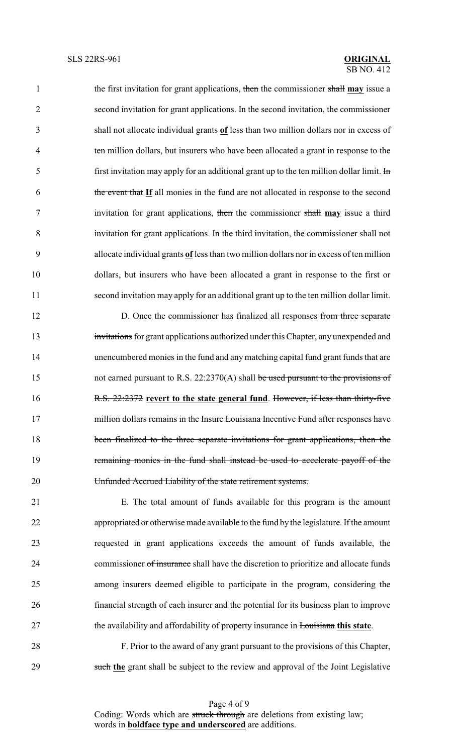the first invitation for grant applications, then the commissioner shall **may** issue a second invitation for grant applications. In the second invitation, the commissioner shall not allocate individual grants **of** less than two million dollars nor in excess of ten million dollars, but insurers who have been allocated a grant in response to the 5 first invitation may apply for an additional grant up to the ten million dollar limit.  $\text{Im}$  the event that **If** all monies in the fund are not allocated in response to the second invitation for grant applications, then the commissioner shall **may** issue a third invitation for grant applications. In the third invitation, the commissioner shall not allocate individual grants **of** less than two million dollars nor in excess of ten million dollars, but insurers who have been allocated a grant in response to the first or second invitation may apply for an additional grant up to the ten million dollar limit.

12 D. Once the commissioner has finalized all responses from three separate 13 invitations for grant applications authorized under this Chapter, any unexpended and unencumbered monies in the fund and anymatching capital fund grant funds that are 15 not earned pursuant to R.S. 22:2370(A) shall be used pursuant to the provisions of R.S. 22:2372 **revert to the state general fund**. However, if less than thirty-five 17 million dollars remains in the Insure Louisiana Incentive Fund after responses have been finalized to the three separate invitations for grant applications, then the remaining monies in the fund shall instead be used to accelerate payoff of the Unfunded Accrued Liability of the state retirement systems.

 E. The total amount of funds available for this program is the amount appropriated or otherwise made available to the fund by the legislature. If the amount requested in grant applications exceeds the amount of funds available, the 24 commissioner of insurance shall have the discretion to prioritize and allocate funds among insurers deemed eligible to participate in the program, considering the financial strength of each insurer and the potential for its business plan to improve the availability and affordability of property insurance in Louisiana **this state**.

 F. Prior to the award of any grant pursuant to the provisions of this Chapter, such **the** grant shall be subject to the review and approval of the Joint Legislative

> Page 4 of 9 Coding: Words which are struck through are deletions from existing law; words in **boldface type and underscored** are additions.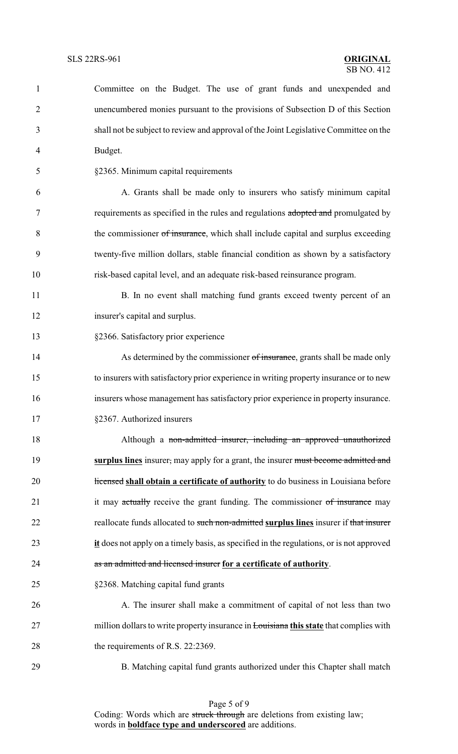| $\mathbf{1}$   | Committee on the Budget. The use of grant funds and unexpended and                                  |
|----------------|-----------------------------------------------------------------------------------------------------|
| $\overline{2}$ | unencumbered monies pursuant to the provisions of Subsection D of this Section                      |
| 3              | shall not be subject to review and approval of the Joint Legislative Committee on the               |
| $\overline{4}$ | Budget.                                                                                             |
| 5              | §2365. Minimum capital requirements                                                                 |
| 6              | A. Grants shall be made only to insurers who satisfy minimum capital                                |
| $\tau$         | requirements as specified in the rules and regulations adopted and promulgated by                   |
| 8              | the commissioner of insurance, which shall include capital and surplus exceeding                    |
| 9              | twenty-five million dollars, stable financial condition as shown by a satisfactory                  |
| 10             | risk-based capital level, and an adequate risk-based reinsurance program.                           |
| 11             | B. In no event shall matching fund grants exceed twenty percent of an                               |
| 12             | insurer's capital and surplus.                                                                      |
| 13             | §2366. Satisfactory prior experience                                                                |
| 14             | As determined by the commissioner of insurance, grants shall be made only                           |
| 15             | to insurers with satisfactory prior experience in writing property insurance or to new              |
| 16             | insurers whose management has satisfactory prior experience in property insurance.                  |
| 17             | §2367. Authorized insurers                                                                          |
| 18             | Although a non-admitted insurer, including an approved unauthorized                                 |
| 19             | surplus lines insurer, may apply for a grant, the insurer must become admitted and                  |
| 20             | Hicensed shall obtain a certificate of authority to do business in Louisiana before                 |
| 21             | it may actually receive the grant funding. The commissioner of insurance may                        |
| 22             | reallocate funds allocated to such non-admitted surplus lines insurer if that insurer               |
| 23             | $\mathbf{it}$ does not apply on a timely basis, as specified in the regulations, or is not approved |
| 24             | as an admitted and licensed insurer for a certificate of authority.                                 |
| 25             | §2368. Matching capital fund grants                                                                 |
| 26             | A. The insurer shall make a commitment of capital of not less than two                              |
| 27             | million dollars to write property insurance in <b>Louisiana this state</b> that complies with       |
| 28             | the requirements of R.S. 22:2369.                                                                   |
| 29             | B. Matching capital fund grants authorized under this Chapter shall match                           |

Page 5 of 9 Coding: Words which are struck through are deletions from existing law; words in **boldface type and underscored** are additions.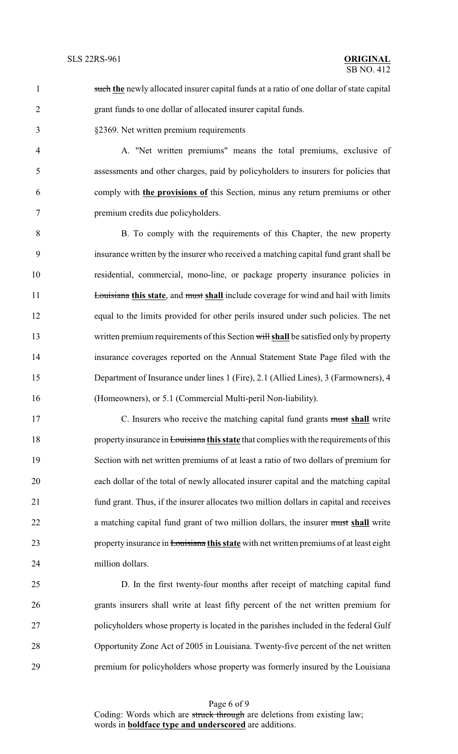## $\overline{SB}$  NO. 412

1 such the newly allocated insurer capital funds at a ratio of one dollar of state capital grant funds to one dollar of allocated insurer capital funds.

§2369. Net written premium requirements

 A. "Net written premiums" means the total premiums, exclusive of assessments and other charges, paid by policyholders to insurers for policies that comply with **the provisions of** this Section, minus any return premiums or other premium credits due policyholders.

 B. To comply with the requirements of this Chapter, the new property insurance written by the insurer who received a matching capital fund grant shall be residential, commercial, mono-line, or package property insurance policies in **Louisiana this state**, and must shall include coverage for wind and hail with limits equal to the limits provided for other perils insured under such policies. The net written premium requirements of this Section will **shall** be satisfied only by property insurance coverages reported on the Annual Statement State Page filed with the Department of Insurance under lines 1 (Fire), 2.1 (Allied Lines), 3 (Farmowners), 4 (Homeowners), or 5.1 (Commercial Multi-peril Non-liability).

 C. Insurers who receive the matching capital fund grants must **shall** write propertyinsurance in Louisiana **this state** that complies with the requirements of this Section with net written premiums of at least a ratio of two dollars of premium for each dollar of the total of newly allocated insurer capital and the matching capital fund grant. Thus, if the insurer allocates two million dollars in capital and receives a matching capital fund grant of two million dollars, the insurer must **shall** write property insurance in Louisiana **this state** with net written premiums of at least eight million dollars.

 D. In the first twenty-four months after receipt of matching capital fund grants insurers shall write at least fifty percent of the net written premium for policyholders whose property is located in the parishes included in the federal Gulf Opportunity Zone Act of 2005 in Louisiana. Twenty-five percent of the net written premium for policyholders whose property was formerly insured by the Louisiana

Page 6 of 9 Coding: Words which are struck through are deletions from existing law; words in **boldface type and underscored** are additions.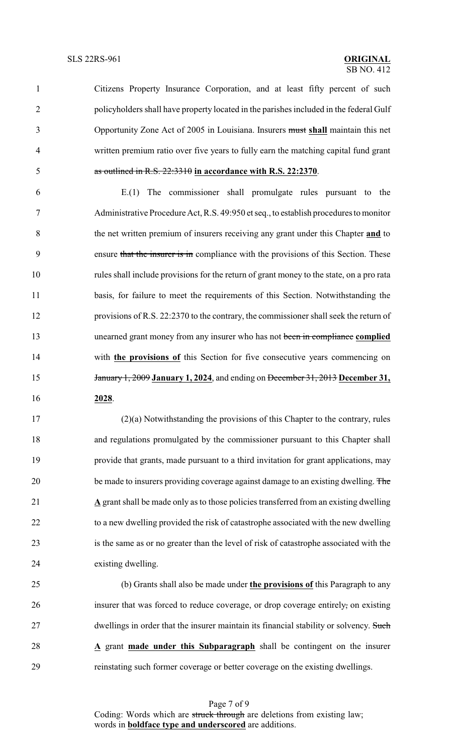Citizens Property Insurance Corporation, and at least fifty percent of such policyholders shall have property located in the parishes included in the federal Gulf Opportunity Zone Act of 2005 in Louisiana. Insurers must **shall** maintain this net written premium ratio over five years to fully earn the matching capital fund grant as outlined in R.S. 22:3310 **in accordance with R.S. 22:2370**.

 E.(1) The commissioner shall promulgate rules pursuant to the Administrative Procedure Act, R.S. 49:950 et seq., to establish procedures to monitor the net written premium of insurers receiving any grant under this Chapter **and** to 9 ensure that the insurer is in compliance with the provisions of this Section. These rules shall include provisions for the return of grant money to the state, on a pro rata basis, for failure to meet the requirements of this Section. Notwithstanding the provisions of R.S. 22:2370 to the contrary, the commissioner shall seek the return of unearned grant money from any insurer who has not been in compliance **complied** with **the provisions of** this Section for five consecutive years commencing on January 1, 2009 **January 1, 2024**, and ending on December 31, 2013 **December 31, 2028**.

 (2)(a) Notwithstanding the provisions of this Chapter to the contrary, rules and regulations promulgated by the commissioner pursuant to this Chapter shall provide that grants, made pursuant to a third invitation for grant applications, may 20 be made to insurers providing coverage against damage to an existing dwelling. The **A** grant shall be made only as to those policies transferred from an existing dwelling to a new dwelling provided the risk of catastrophe associated with the new dwelling is the same as or no greater than the level of risk of catastrophe associated with the existing dwelling.

 (b) Grants shall also be made under **the provisions of** this Paragraph to any insurer that was forced to reduce coverage, or drop coverage entirely, on existing 27 dwellings in order that the insurer maintain its financial stability or solvency. Such **A** grant **made under this Subparagraph** shall be contingent on the insurer reinstating such former coverage or better coverage on the existing dwellings.

Page 7 of 9 Coding: Words which are struck through are deletions from existing law; words in **boldface type and underscored** are additions.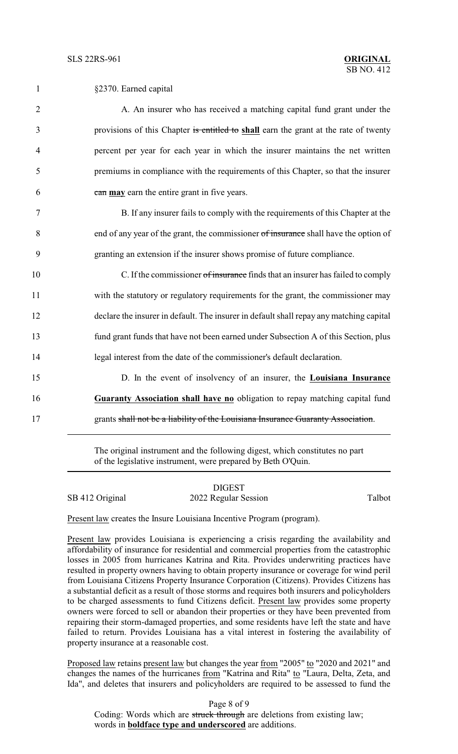| $\mathbf{1}$   | §2370. Earned capital                                                                   |
|----------------|-----------------------------------------------------------------------------------------|
| $\overline{2}$ | A. An insurer who has received a matching capital fund grant under the                  |
| 3              | provisions of this Chapter is entitled to shall earn the grant at the rate of twenty    |
| 4              | percent per year for each year in which the insurer maintains the net written           |
| 5              | premiums in compliance with the requirements of this Chapter, so that the insurer       |
| 6              | can may earn the entire grant in five years.                                            |
| $\tau$         | B. If any insurer fails to comply with the requirements of this Chapter at the          |
| 8              | end of any year of the grant, the commissioner of insurance shall have the option of    |
| 9              | granting an extension if the insurer shows promise of future compliance.                |
| 10             | C. If the commissioner of insurance finds that an insurer has failed to comply          |
| 11             | with the statutory or regulatory requirements for the grant, the commissioner may       |
| 12             | declare the insurer in default. The insurer in default shall repay any matching capital |
| 13             | fund grant funds that have not been earned under Subsection A of this Section, plus     |
| 14             | legal interest from the date of the commissioner's default declaration.                 |
| 15             | D. In the event of insolvency of an insurer, the Louisiana Insurance                    |
| 16             | Guaranty Association shall have no obligation to repay matching capital fund            |
| 17             | grants shall not be a liability of the Louisiana Insurance Guaranty Association.        |

The original instrument and the following digest, which constitutes no part of the legislative instrument, were prepared by Beth O'Quin.

|                 | <b>DIGEST</b>        |        |
|-----------------|----------------------|--------|
| SB 412 Original | 2022 Regular Session | Talbot |

Present law creates the Insure Louisiana Incentive Program (program).

Present law provides Louisiana is experiencing a crisis regarding the availability and affordability of insurance for residential and commercial properties from the catastrophic losses in 2005 from hurricanes Katrina and Rita. Provides underwriting practices have resulted in property owners having to obtain property insurance or coverage for wind peril from Louisiana Citizens Property Insurance Corporation (Citizens). Provides Citizens has a substantial deficit as a result of those storms and requires both insurers and policyholders to be charged assessments to fund Citizens deficit. Present law provides some property owners were forced to sell or abandon their properties or they have been prevented from repairing their storm-damaged properties, and some residents have left the state and have failed to return. Provides Louisiana has a vital interest in fostering the availability of property insurance at a reasonable cost.

Proposed law retains present law but changes the year from "2005" to "2020 and 2021" and changes the names of the hurricanes from "Katrina and Rita" to "Laura, Delta, Zeta, and Ida", and deletes that insurers and policyholders are required to be assessed to fund the

Page 8 of 9 Coding: Words which are struck through are deletions from existing law; words in **boldface type and underscored** are additions.